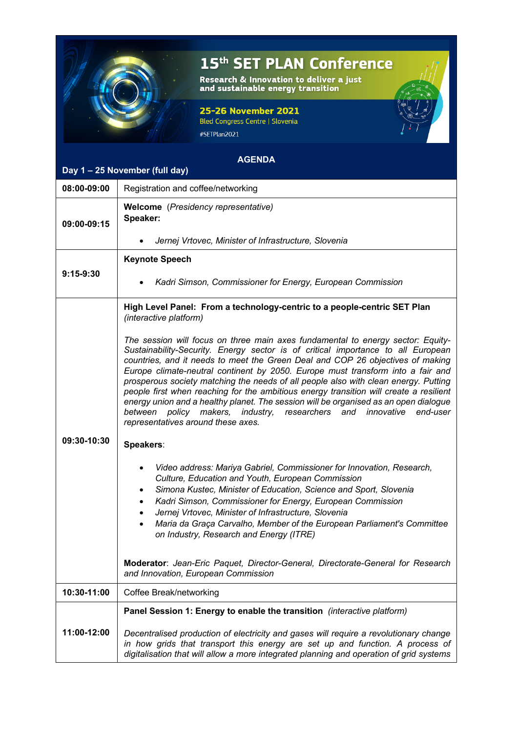

## 15<sup>th</sup> SET PLAN Conference

Research & Innovation to deliver a just<br>and sustainable energy transition

## 25-26 November 2021

Bled Congress Centre | Slovenia #SETPlan2021

## **AGENDA**

## **Day 1 – 25 November (full day)**

| 08:00-09:00 | Registration and coffee/networking                                                                                                                                                                                                                                                                                                                                                                                                                                                                                                                                                                                                                                                                                                    |
|-------------|---------------------------------------------------------------------------------------------------------------------------------------------------------------------------------------------------------------------------------------------------------------------------------------------------------------------------------------------------------------------------------------------------------------------------------------------------------------------------------------------------------------------------------------------------------------------------------------------------------------------------------------------------------------------------------------------------------------------------------------|
| 09:00-09:15 | <b>Welcome</b> (Presidency representative)<br>Speaker:                                                                                                                                                                                                                                                                                                                                                                                                                                                                                                                                                                                                                                                                                |
|             | Jernej Vrtovec, Minister of Infrastructure, Slovenia                                                                                                                                                                                                                                                                                                                                                                                                                                                                                                                                                                                                                                                                                  |
| $9:15-9:30$ | <b>Keynote Speech</b>                                                                                                                                                                                                                                                                                                                                                                                                                                                                                                                                                                                                                                                                                                                 |
|             | Kadri Simson, Commissioner for Energy, European Commission                                                                                                                                                                                                                                                                                                                                                                                                                                                                                                                                                                                                                                                                            |
| 09:30-10:30 | High Level Panel: From a technology-centric to a people-centric SET Plan<br>(interactive platform)                                                                                                                                                                                                                                                                                                                                                                                                                                                                                                                                                                                                                                    |
|             | The session will focus on three main axes fundamental to energy sector: Equity-<br>Sustainability-Security. Energy sector is of critical importance to all European<br>countries, and it needs to meet the Green Deal and COP 26 objectives of making<br>Europe climate-neutral continent by 2050. Europe must transform into a fair and<br>prosperous society matching the needs of all people also with clean energy. Putting<br>people first when reaching for the ambitious energy transition will create a resilient<br>energy union and a healthy planet. The session will be organised as an open dialogue<br>between policy makers, industry, researchers and<br>innovative<br>end-user<br>representatives around these axes. |
|             | Speakers:                                                                                                                                                                                                                                                                                                                                                                                                                                                                                                                                                                                                                                                                                                                             |
|             | Video address: Mariya Gabriel, Commissioner for Innovation, Research,<br>٠<br>Culture, Education and Youth, European Commission<br>Simona Kustec, Minister of Education, Science and Sport, Slovenia<br>٠<br>Kadri Simson, Commissioner for Energy, European Commission<br>$\bullet$<br>Jernej Vrtovec, Minister of Infrastructure, Slovenia<br>٠<br>Maria da Graça Carvalho, Member of the European Parliament's Committee<br>$\bullet$<br>on Industry, Research and Energy (ITRE)                                                                                                                                                                                                                                                   |
|             | Moderator: Jean-Eric Paquet, Director-General, Directorate-General for Research<br>and Innovation, European Commission                                                                                                                                                                                                                                                                                                                                                                                                                                                                                                                                                                                                                |
| 10:30-11:00 | Coffee Break/networking                                                                                                                                                                                                                                                                                                                                                                                                                                                                                                                                                                                                                                                                                                               |
| 11:00-12:00 | Panel Session 1: Energy to enable the transition (interactive platform)                                                                                                                                                                                                                                                                                                                                                                                                                                                                                                                                                                                                                                                               |
|             | Decentralised production of electricity and gases will require a revolutionary change<br>in how grids that transport this energy are set up and function. A process of<br>digitalisation that will allow a more integrated planning and operation of grid systems                                                                                                                                                                                                                                                                                                                                                                                                                                                                     |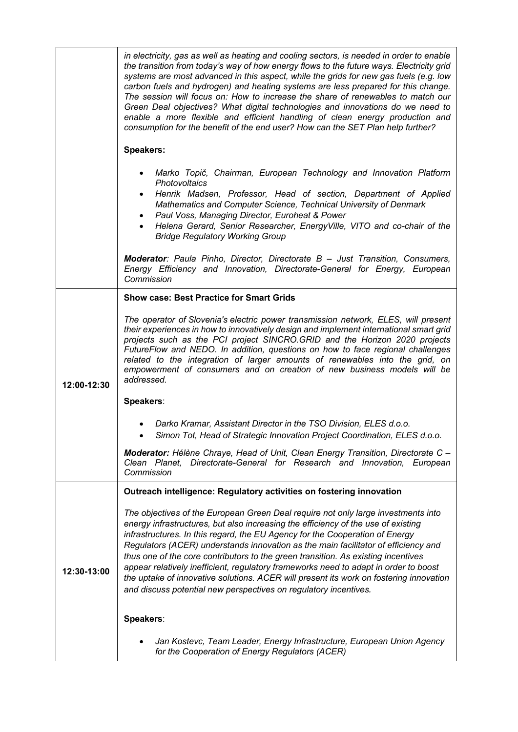|             | in electricity, gas as well as heating and cooling sectors, is needed in order to enable<br>the transition from today's way of how energy flows to the future ways. Electricity grid<br>systems are most advanced in this aspect, while the grids for new gas fuels (e.g. low<br>carbon fuels and hydrogen) and heating systems are less prepared for this change.<br>The session will focus on: How to increase the share of renewables to match our<br>Green Deal objectives? What digital technologies and innovations do we need to<br>enable a more flexible and efficient handling of clean energy production and<br>consumption for the benefit of the end user? How can the SET Plan help further? |
|-------------|------------------------------------------------------------------------------------------------------------------------------------------------------------------------------------------------------------------------------------------------------------------------------------------------------------------------------------------------------------------------------------------------------------------------------------------------------------------------------------------------------------------------------------------------------------------------------------------------------------------------------------------------------------------------------------------------------------|
|             | <b>Speakers:</b>                                                                                                                                                                                                                                                                                                                                                                                                                                                                                                                                                                                                                                                                                           |
|             | Marko Topič, Chairman, European Technology and Innovation Platform<br>Photovoltaics<br>Henrik Madsen, Professor, Head of section, Department of Applied<br>Mathematics and Computer Science, Technical University of Denmark<br>Paul Voss, Managing Director, Euroheat & Power<br>$\bullet$<br>Helena Gerard, Senior Researcher, EnergyVille, VITO and co-chair of the<br><b>Bridge Regulatory Working Group</b>                                                                                                                                                                                                                                                                                           |
|             | <b>Moderator:</b> Paula Pinho, Director, Directorate B - Just Transition, Consumers,<br>Energy Efficiency and Innovation, Directorate-General for Energy, European<br>Commission                                                                                                                                                                                                                                                                                                                                                                                                                                                                                                                           |
|             | <b>Show case: Best Practice for Smart Grids</b>                                                                                                                                                                                                                                                                                                                                                                                                                                                                                                                                                                                                                                                            |
| 12:00-12:30 | The operator of Slovenia's electric power transmission network, ELES, will present<br>their experiences in how to innovatively design and implement international smart grid<br>projects such as the PCI project SINCRO.GRID and the Horizon 2020 projects<br>FutureFlow and NEDO. In addition, questions on how to face regional challenges<br>related to the integration of larger amounts of renewables into the grid, on<br>empowerment of consumers and on creation of new business models will be<br>addressed.                                                                                                                                                                                      |
|             | Speakers:                                                                                                                                                                                                                                                                                                                                                                                                                                                                                                                                                                                                                                                                                                  |
|             | Darko Kramar, Assistant Director in the TSO Division, ELES d.o.o.<br>Simon Tot, Head of Strategic Innovation Project Coordination, ELES d.o.o.                                                                                                                                                                                                                                                                                                                                                                                                                                                                                                                                                             |
|             | <b>Moderator:</b> Hélène Chraye, Head of Unit, Clean Energy Transition, Directorate C -<br>Clean Planet, Directorate-General for Research and Innovation, European<br>Commission                                                                                                                                                                                                                                                                                                                                                                                                                                                                                                                           |
|             | Outreach intelligence: Regulatory activities on fostering innovation                                                                                                                                                                                                                                                                                                                                                                                                                                                                                                                                                                                                                                       |
| 12:30-13:00 | The objectives of the European Green Deal require not only large investments into<br>energy infrastructures, but also increasing the efficiency of the use of existing<br>infrastructures. In this regard, the EU Agency for the Cooperation of Energy<br>Regulators (ACER) understands innovation as the main facilitator of efficiency and<br>thus one of the core contributors to the green transition. As existing incentives<br>appear relatively inefficient, regulatory frameworks need to adapt in order to boost<br>the uptake of innovative solutions. ACER will present its work on fostering innovation<br>and discuss potential new perspectives on regulatory incentives.                    |
|             | Speakers:                                                                                                                                                                                                                                                                                                                                                                                                                                                                                                                                                                                                                                                                                                  |
|             | Jan Kostevc, Team Leader, Energy Infrastructure, European Union Agency<br>for the Cooperation of Energy Regulators (ACER)                                                                                                                                                                                                                                                                                                                                                                                                                                                                                                                                                                                  |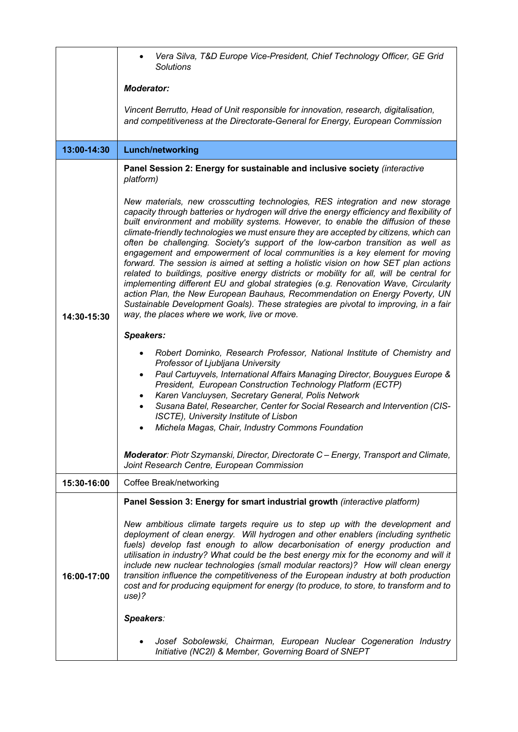|             | Vera Silva, T&D Europe Vice-President, Chief Technology Officer, GE Grid<br>Solutions                                                                                                                                                                                                                                                                                                                                                                                                                                                                                                                                                                                                                                                                                                                                                                                                                                                                                                                                      |
|-------------|----------------------------------------------------------------------------------------------------------------------------------------------------------------------------------------------------------------------------------------------------------------------------------------------------------------------------------------------------------------------------------------------------------------------------------------------------------------------------------------------------------------------------------------------------------------------------------------------------------------------------------------------------------------------------------------------------------------------------------------------------------------------------------------------------------------------------------------------------------------------------------------------------------------------------------------------------------------------------------------------------------------------------|
|             | <b>Moderator:</b>                                                                                                                                                                                                                                                                                                                                                                                                                                                                                                                                                                                                                                                                                                                                                                                                                                                                                                                                                                                                          |
|             | Vincent Berrutto, Head of Unit responsible for innovation, research, digitalisation,<br>and competitiveness at the Directorate-General for Energy, European Commission                                                                                                                                                                                                                                                                                                                                                                                                                                                                                                                                                                                                                                                                                                                                                                                                                                                     |
| 13:00-14:30 | <b>Lunch/networking</b>                                                                                                                                                                                                                                                                                                                                                                                                                                                                                                                                                                                                                                                                                                                                                                                                                                                                                                                                                                                                    |
| 14:30-15:30 | Panel Session 2: Energy for sustainable and inclusive society (interactive<br>platform)                                                                                                                                                                                                                                                                                                                                                                                                                                                                                                                                                                                                                                                                                                                                                                                                                                                                                                                                    |
|             | New materials, new crosscutting technologies, RES integration and new storage<br>capacity through batteries or hydrogen will drive the energy efficiency and flexibility of<br>built environment and mobility systems. However, to enable the diffusion of these<br>climate-friendly technologies we must ensure they are accepted by citizens, which can<br>often be challenging. Society's support of the low-carbon transition as well as<br>engagement and empowerment of local communities is a key element for moving<br>forward. The session is aimed at setting a holistic vision on how SET plan actions<br>related to buildings, positive energy districts or mobility for all, will be central for<br>implementing different EU and global strategies (e.g. Renovation Wave, Circularity<br>action Plan, the New European Bauhaus, Recommendation on Energy Poverty, UN<br>Sustainable Development Goals). These strategies are pivotal to improving, in a fair<br>way, the places where we work, live or move. |
|             | <b>Speakers:</b>                                                                                                                                                                                                                                                                                                                                                                                                                                                                                                                                                                                                                                                                                                                                                                                                                                                                                                                                                                                                           |
|             | Robert Dominko, Research Professor, National Institute of Chemistry and<br>Professor of Ljubljana University<br>Paul Cartuyvels, International Affairs Managing Director, Bouygues Europe &<br>President, European Construction Technology Platform (ECTP)<br>Karen Vancluysen, Secretary General, Polis Network<br>٠<br>Susana Batel, Researcher, Center for Social Research and Intervention (CIS-<br>ISCTE), University Institute of Lisbon<br>Michela Magas, Chair, Industry Commons Foundation                                                                                                                                                                                                                                                                                                                                                                                                                                                                                                                        |
|             | Moderator: Piotr Szymanski, Director, Directorate C - Energy, Transport and Climate,<br>Joint Research Centre, European Commission                                                                                                                                                                                                                                                                                                                                                                                                                                                                                                                                                                                                                                                                                                                                                                                                                                                                                         |
| 15:30-16:00 | Coffee Break/networking                                                                                                                                                                                                                                                                                                                                                                                                                                                                                                                                                                                                                                                                                                                                                                                                                                                                                                                                                                                                    |
| 16:00-17:00 | Panel Session 3: Energy for smart industrial growth (interactive platform)<br>New ambitious climate targets require us to step up with the development and<br>deployment of clean energy. Will hydrogen and other enablers (including synthetic<br>fuels) develop fast enough to allow decarbonisation of energy production and<br>utilisation in industry? What could be the best energy mix for the economy and will it<br>include new nuclear technologies (small modular reactors)? How will clean energy<br>transition influence the competitiveness of the European industry at both production<br>cost and for producing equipment for energy (to produce, to store, to transform and to<br>use)?<br>Speakers:                                                                                                                                                                                                                                                                                                      |
|             |                                                                                                                                                                                                                                                                                                                                                                                                                                                                                                                                                                                                                                                                                                                                                                                                                                                                                                                                                                                                                            |
|             | Josef Sobolewski, Chairman, European Nuclear Cogeneration Industry<br>Initiative (NC2I) & Member, Governing Board of SNEPT                                                                                                                                                                                                                                                                                                                                                                                                                                                                                                                                                                                                                                                                                                                                                                                                                                                                                                 |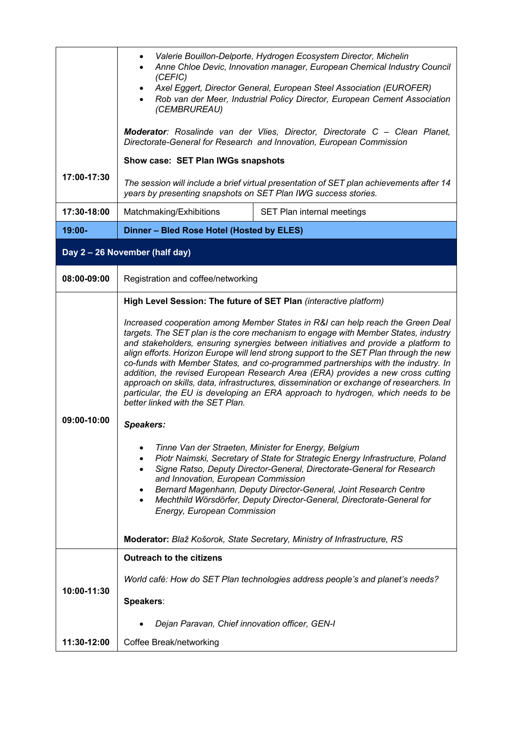|                                | Valerie Bouillon-Delporte, Hydrogen Ecosystem Director, Michelin<br>$\bullet$<br>Anne Chloe Devic, Innovation manager, European Chemical Industry Council<br>(CEFIC)<br>Axel Eggert, Director General, European Steel Association (EUROFER)<br>Rob van der Meer, Industrial Policy Director, European Cement Association<br>(CEMBRUREAU)                                                                                                                                                                                                                                                                                                                                                                                                                                                                                                                                                                                                                                                                                                                                                                                                                                                                                                                                                                                                                            |
|--------------------------------|---------------------------------------------------------------------------------------------------------------------------------------------------------------------------------------------------------------------------------------------------------------------------------------------------------------------------------------------------------------------------------------------------------------------------------------------------------------------------------------------------------------------------------------------------------------------------------------------------------------------------------------------------------------------------------------------------------------------------------------------------------------------------------------------------------------------------------------------------------------------------------------------------------------------------------------------------------------------------------------------------------------------------------------------------------------------------------------------------------------------------------------------------------------------------------------------------------------------------------------------------------------------------------------------------------------------------------------------------------------------|
|                                | Moderator: Rosalinde van der Vlies, Director, Directorate C - Clean Planet,<br>Directorate-General for Research and Innovation, European Commission                                                                                                                                                                                                                                                                                                                                                                                                                                                                                                                                                                                                                                                                                                                                                                                                                                                                                                                                                                                                                                                                                                                                                                                                                 |
| 17:00-17:30                    | Show case: SET Plan IWGs snapshots                                                                                                                                                                                                                                                                                                                                                                                                                                                                                                                                                                                                                                                                                                                                                                                                                                                                                                                                                                                                                                                                                                                                                                                                                                                                                                                                  |
|                                | The session will include a brief virtual presentation of SET plan achievements after 14<br>years by presenting snapshots on SET Plan IWG success stories.                                                                                                                                                                                                                                                                                                                                                                                                                                                                                                                                                                                                                                                                                                                                                                                                                                                                                                                                                                                                                                                                                                                                                                                                           |
| 17:30-18:00                    | Matchmaking/Exhibitions<br>SET Plan internal meetings                                                                                                                                                                                                                                                                                                                                                                                                                                                                                                                                                                                                                                                                                                                                                                                                                                                                                                                                                                                                                                                                                                                                                                                                                                                                                                               |
| $19:00 -$                      | Dinner - Bled Rose Hotel (Hosted by ELES)                                                                                                                                                                                                                                                                                                                                                                                                                                                                                                                                                                                                                                                                                                                                                                                                                                                                                                                                                                                                                                                                                                                                                                                                                                                                                                                           |
| Day 2 - 26 November (half day) |                                                                                                                                                                                                                                                                                                                                                                                                                                                                                                                                                                                                                                                                                                                                                                                                                                                                                                                                                                                                                                                                                                                                                                                                                                                                                                                                                                     |
| 08:00-09:00                    | Registration and coffee/networking                                                                                                                                                                                                                                                                                                                                                                                                                                                                                                                                                                                                                                                                                                                                                                                                                                                                                                                                                                                                                                                                                                                                                                                                                                                                                                                                  |
| 09:00-10:00                    | High Level Session: The future of SET Plan (interactive platform)<br>Increased cooperation among Member States in R&I can help reach the Green Deal<br>targets. The SET plan is the core mechanism to engage with Member States, industry<br>and stakeholders, ensuring synergies between initiatives and provide a platform to<br>align efforts. Horizon Europe will lend strong support to the SET Plan through the new<br>co-funds with Member States, and co-programmed partnerships with the industry. In<br>addition, the revised European Research Area (ERA) provides a new cross cutting<br>approach on skills, data, infrastructures, dissemination or exchange of researchers. In<br>particular, the EU is developing an ERA approach to hydrogen, which needs to be<br>better linked with the SET Plan.<br>Speakers:<br>Tinne Van der Straeten, Minister for Energy, Belgium<br>٠<br>Piotr Naimski, Secretary of State for Strategic Energy Infrastructure, Poland<br>٠<br>Signe Ratso, Deputy Director-General, Directorate-General for Research<br>and Innovation, European Commission<br>Bernard Magenhann, Deputy Director-General, Joint Research Centre<br>٠<br>Mechthild Wörsdörfer, Deputy Director-General, Directorate-General for<br>Energy, European Commission<br>Moderator: Blaž Košorok, State Secretary, Ministry of Infrastructure, RS |
| 10:00-11:30                    | <b>Outreach to the citizens</b><br>World café: How do SET Plan technologies address people's and planet's needs?<br>Speakers:                                                                                                                                                                                                                                                                                                                                                                                                                                                                                                                                                                                                                                                                                                                                                                                                                                                                                                                                                                                                                                                                                                                                                                                                                                       |
|                                | Dejan Paravan, Chief innovation officer, GEN-I                                                                                                                                                                                                                                                                                                                                                                                                                                                                                                                                                                                                                                                                                                                                                                                                                                                                                                                                                                                                                                                                                                                                                                                                                                                                                                                      |
| 11:30-12:00                    | Coffee Break/networking                                                                                                                                                                                                                                                                                                                                                                                                                                                                                                                                                                                                                                                                                                                                                                                                                                                                                                                                                                                                                                                                                                                                                                                                                                                                                                                                             |